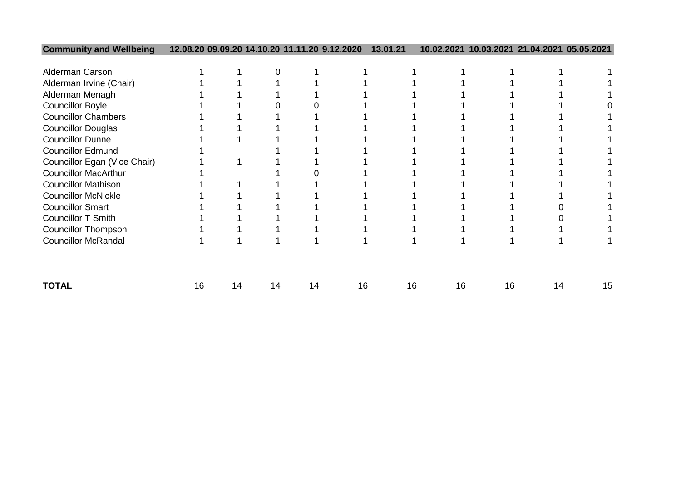| <b>Community and Wellbeing</b> | 12.08.20 09.09.20 |    | 14.10.20 |    | 9.12.2020 | 13.01.21 | 10.02.2021 | 10.03.2021 |    | 21.04.2021 05.05.2021 |
|--------------------------------|-------------------|----|----------|----|-----------|----------|------------|------------|----|-----------------------|
|                                |                   |    |          |    |           |          |            |            |    |                       |
| Alderman Carson                |                   |    |          |    |           |          |            |            |    |                       |
| Alderman Irvine (Chair)        |                   |    |          |    |           |          |            |            |    |                       |
| Alderman Menagh                |                   |    |          |    |           |          |            |            |    |                       |
| <b>Councillor Boyle</b>        |                   |    |          |    |           |          |            |            |    |                       |
| <b>Councillor Chambers</b>     |                   |    |          |    |           |          |            |            |    |                       |
| <b>Councillor Douglas</b>      |                   |    |          |    |           |          |            |            |    |                       |
| <b>Councillor Dunne</b>        |                   |    |          |    |           |          |            |            |    |                       |
| <b>Councillor Edmund</b>       |                   |    |          |    |           |          |            |            |    |                       |
| Councillor Egan (Vice Chair)   |                   |    |          |    |           |          |            |            |    |                       |
| <b>Councillor MacArthur</b>    |                   |    |          |    |           |          |            |            |    |                       |
| <b>Councillor Mathison</b>     |                   |    |          |    |           |          |            |            |    |                       |
| <b>Councillor McNickle</b>     |                   |    |          |    |           |          |            |            |    |                       |
| <b>Councillor Smart</b>        |                   |    |          |    |           |          |            |            |    |                       |
| <b>Councillor T Smith</b>      |                   |    |          |    |           |          |            |            |    |                       |
| <b>Councillor Thompson</b>     |                   |    |          |    |           |          |            |            |    |                       |
| <b>Councillor McRandal</b>     |                   |    |          |    |           |          |            |            |    |                       |
|                                |                   |    |          |    |           |          |            |            |    |                       |
| <b>TOTAL</b>                   | 16                | 14 | 14       | 14 | 16        | 16       | 16         | 16         | 14 | 15                    |